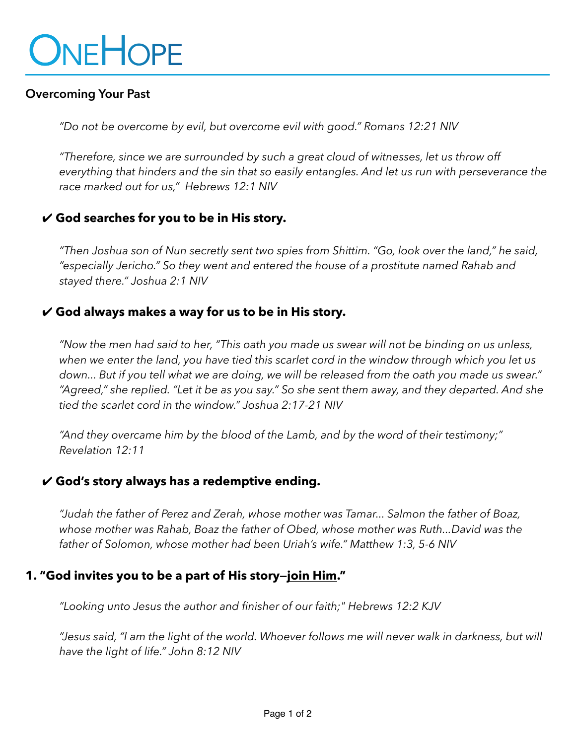# ONEHOPE

#### **Overcoming Your Past**

*"Do not be overcome by evil, but overcome evil with good." Romans 12:21 NIV*

*"Therefore, since we are surrounded by such a great cloud of witnesses, let us throw off everything that hinders and the sin that so easily entangles. And let us run with perseverance the race marked out for us," Hebrews 12:1 NIV*

## ✔︎ **God searches for you to be in His story.**

*"Then Joshua son of Nun secretly sent two spies from Shittim. "Go, look over the land," he said, "especially Jericho." So they went and entered the house of a prostitute named Rahab and stayed there." Joshua 2:1 NIV*

#### ✔︎ **God always makes a way for us to be in His story.**

*"Now the men had said to her, "This oath you made us swear will not be binding on us unless, when we enter the land, you have tied this scarlet cord in the window through which you let us down... But if you tell what we are doing, we will be released from the oath you made us swear." "Agreed," she replied. "Let it be as you say." So she sent them away, and they departed. And she tied the scarlet cord in the window." Joshua 2:17-21 NIV*

*"And they overcame him by the blood of the Lamb, and by the word of their testimony;" Revelation 12:11*

## ✔︎ **God's story always has a redemptive ending.**

*"Judah the father of Perez and Zerah, whose mother was Tamar... Salmon the father of Boaz, whose mother was Rahab, Boaz the father of Obed, whose mother was Ruth...David was the father of Solomon, whose mother had been Uriah's wife." Matthew 1:3, 5-6 NIV*

## **1. "God invites you to be a part of His story—join Him."**

*"Looking unto Jesus the author and finisher of our faith;" Hebrews 12:2 KJV*

*"Jesus said, "I am the light of the world. Whoever follows me will never walk in darkness, but will have the light of life." John 8:12 NIV*